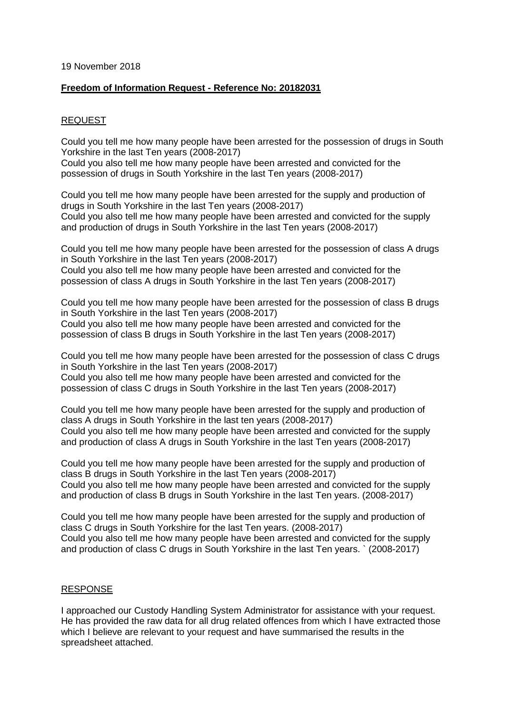## 19 November 2018

## **Freedom of Information Request - Reference No: 20182031**

## REQUEST

Could you tell me how many people have been arrested for the possession of drugs in South Yorkshire in the last Ten years (2008-2017)

Could you also tell me how many people have been arrested and convicted for the possession of drugs in South Yorkshire in the last Ten years (2008-2017)

Could you tell me how many people have been arrested for the supply and production of drugs in South Yorkshire in the last Ten years (2008-2017) Could you also tell me how many people have been arrested and convicted for the supply and production of drugs in South Yorkshire in the last Ten years (2008-2017)

Could you tell me how many people have been arrested for the possession of class A drugs in South Yorkshire in the last Ten years (2008-2017) Could you also tell me how many people have been arrested and convicted for the possession of class A drugs in South Yorkshire in the last Ten years (2008-2017)

Could you tell me how many people have been arrested for the possession of class B drugs in South Yorkshire in the last Ten years (2008-2017) Could you also tell me how many people have been arrested and convicted for the possession of class B drugs in South Yorkshire in the last Ten years (2008-2017)

Could you tell me how many people have been arrested for the possession of class C drugs in South Yorkshire in the last Ten years (2008-2017) Could you also tell me how many people have been arrested and convicted for the possession of class C drugs in South Yorkshire in the last Ten years (2008-2017)

Could you tell me how many people have been arrested for the supply and production of class A drugs in South Yorkshire in the last ten years (2008-2017) Could you also tell me how many people have been arrested and convicted for the supply and production of class A drugs in South Yorkshire in the last Ten years (2008-2017)

Could you tell me how many people have been arrested for the supply and production of class B drugs in South Yorkshire in the last Ten years (2008-2017) Could you also tell me how many people have been arrested and convicted for the supply and production of class B drugs in South Yorkshire in the last Ten years. (2008-2017)

Could you tell me how many people have been arrested for the supply and production of class C drugs in South Yorkshire for the last Ten years. (2008-2017) Could you also tell me how many people have been arrested and convicted for the supply and production of class C drugs in South Yorkshire in the last Ten years. ` (2008-2017)

## RESPONSE

I approached our Custody Handling System Administrator for assistance with your request. He has provided the raw data for all drug related offences from which I have extracted those which I believe are relevant to your request and have summarised the results in the spreadsheet attached.